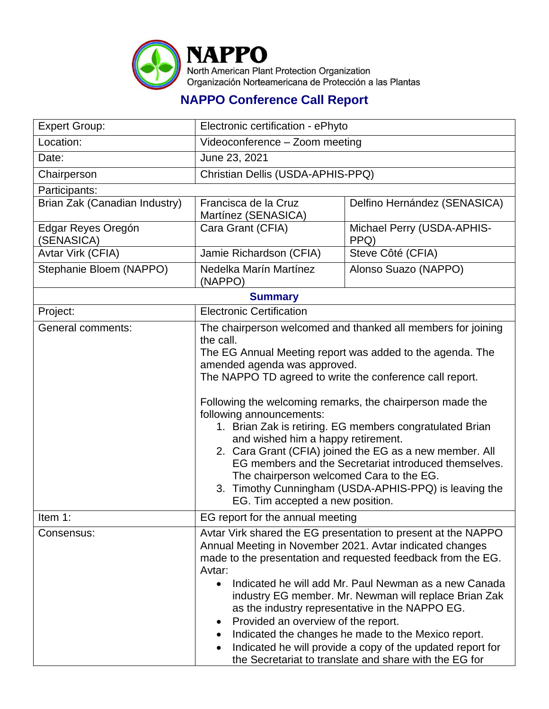

## **NAPPO Conference Call Report**

| <b>Expert Group:</b>             | Electronic certification - ePhyto                                                                                                                                                                                                                                                                                                                                                                                                                                                                                                                                                                                                                                                          |                                    |  |  |  |
|----------------------------------|--------------------------------------------------------------------------------------------------------------------------------------------------------------------------------------------------------------------------------------------------------------------------------------------------------------------------------------------------------------------------------------------------------------------------------------------------------------------------------------------------------------------------------------------------------------------------------------------------------------------------------------------------------------------------------------------|------------------------------------|--|--|--|
| Location:                        | Videoconference - Zoom meeting                                                                                                                                                                                                                                                                                                                                                                                                                                                                                                                                                                                                                                                             |                                    |  |  |  |
| Date:                            | June 23, 2021                                                                                                                                                                                                                                                                                                                                                                                                                                                                                                                                                                                                                                                                              |                                    |  |  |  |
| Chairperson                      | Christian Dellis (USDA-APHIS-PPQ)                                                                                                                                                                                                                                                                                                                                                                                                                                                                                                                                                                                                                                                          |                                    |  |  |  |
| Participants:                    |                                                                                                                                                                                                                                                                                                                                                                                                                                                                                                                                                                                                                                                                                            |                                    |  |  |  |
| Brian Zak (Canadian Industry)    | Francisca de la Cruz<br>Martínez (SENASICA)                                                                                                                                                                                                                                                                                                                                                                                                                                                                                                                                                                                                                                                | Delfino Hernández (SENASICA)       |  |  |  |
| Edgar Reyes Oregón<br>(SENASICA) | Cara Grant (CFIA)                                                                                                                                                                                                                                                                                                                                                                                                                                                                                                                                                                                                                                                                          | Michael Perry (USDA-APHIS-<br>PPQ) |  |  |  |
| Avtar Virk (CFIA)                | Jamie Richardson (CFIA)                                                                                                                                                                                                                                                                                                                                                                                                                                                                                                                                                                                                                                                                    | Steve Côté (CFIA)                  |  |  |  |
| Stephanie Bloem (NAPPO)          | Nedelka Marín Martínez<br>(NAPPO)                                                                                                                                                                                                                                                                                                                                                                                                                                                                                                                                                                                                                                                          | Alonso Suazo (NAPPO)               |  |  |  |
| <b>Summary</b>                   |                                                                                                                                                                                                                                                                                                                                                                                                                                                                                                                                                                                                                                                                                            |                                    |  |  |  |
| Project:                         | <b>Electronic Certification</b>                                                                                                                                                                                                                                                                                                                                                                                                                                                                                                                                                                                                                                                            |                                    |  |  |  |
| <b>General comments:</b>         | The chairperson welcomed and thanked all members for joining<br>the call.<br>The EG Annual Meeting report was added to the agenda. The<br>amended agenda was approved.<br>The NAPPO TD agreed to write the conference call report.<br>Following the welcoming remarks, the chairperson made the<br>following announcements:<br>1. Brian Zak is retiring. EG members congratulated Brian<br>and wished him a happy retirement.<br>2. Cara Grant (CFIA) joined the EG as a new member. All<br>EG members and the Secretariat introduced themselves.<br>The chairperson welcomed Cara to the EG.<br>3. Timothy Cunningham (USDA-APHIS-PPQ) is leaving the<br>EG. Tim accepted a new position. |                                    |  |  |  |
| Item 1:                          | EG report for the annual meeting                                                                                                                                                                                                                                                                                                                                                                                                                                                                                                                                                                                                                                                           |                                    |  |  |  |
| Consensus:                       | Avtar Virk shared the EG presentation to present at the NAPPO<br>Annual Meeting in November 2021. Avtar indicated changes<br>made to the presentation and requested feedback from the EG.<br>Avtar:<br>Indicated he will add Mr. Paul Newman as a new Canada<br>$\bullet$<br>industry EG member. Mr. Newman will replace Brian Zak<br>as the industry representative in the NAPPO EG.<br>Provided an overview of the report.<br>Indicated the changes he made to the Mexico report.<br>Indicated he will provide a copy of the updated report for<br>the Secretariat to translate and share with the EG for                                                                                |                                    |  |  |  |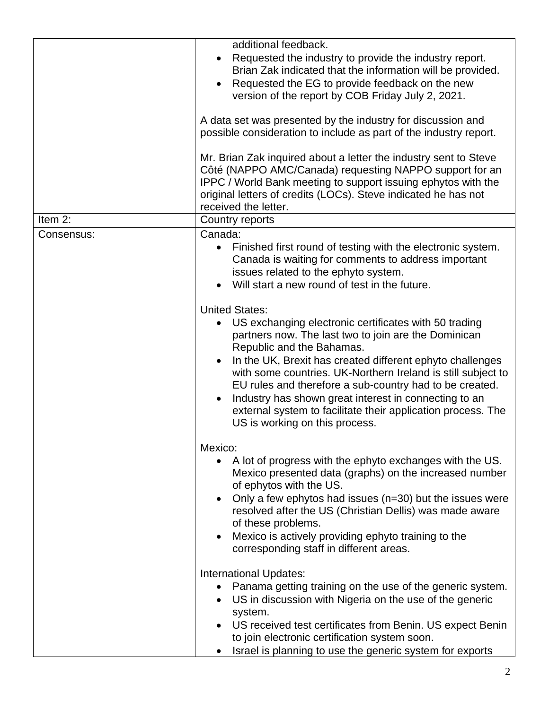|            | additional feedback.<br>Requested the industry to provide the industry report.<br>$\bullet$<br>Brian Zak indicated that the information will be provided.<br>Requested the EG to provide feedback on the new<br>version of the report by COB Friday July 2, 2021.<br>A data set was presented by the industry for discussion and<br>possible consideration to include as part of the industry report.<br>Mr. Brian Zak inquired about a letter the industry sent to Steve<br>Côté (NAPPO AMC/Canada) requesting NAPPO support for an                          |  |
|------------|---------------------------------------------------------------------------------------------------------------------------------------------------------------------------------------------------------------------------------------------------------------------------------------------------------------------------------------------------------------------------------------------------------------------------------------------------------------------------------------------------------------------------------------------------------------|--|
|            | IPPC / World Bank meeting to support issuing ephytos with the<br>original letters of credits (LOCs). Steve indicated he has not<br>received the letter.                                                                                                                                                                                                                                                                                                                                                                                                       |  |
| Item $2$ : | Country reports                                                                                                                                                                                                                                                                                                                                                                                                                                                                                                                                               |  |
| Consensus: | Canada:                                                                                                                                                                                                                                                                                                                                                                                                                                                                                                                                                       |  |
|            | Finished first round of testing with the electronic system.<br>$\bullet$<br>Canada is waiting for comments to address important<br>issues related to the ephyto system.<br>Will start a new round of test in the future.                                                                                                                                                                                                                                                                                                                                      |  |
|            | <b>United States:</b><br>US exchanging electronic certificates with 50 trading<br>$\bullet$<br>partners now. The last two to join are the Dominican<br>Republic and the Bahamas.<br>In the UK, Brexit has created different ephyto challenges<br>$\bullet$<br>with some countries. UK-Northern Ireland is still subject to<br>EU rules and therefore a sub-country had to be created.<br>Industry has shown great interest in connecting to an<br>$\bullet$<br>external system to facilitate their application process. The<br>US is working on this process. |  |
|            | Mexico:                                                                                                                                                                                                                                                                                                                                                                                                                                                                                                                                                       |  |
|            | A lot of progress with the ephyto exchanges with the US.<br>$\bullet$<br>Mexico presented data (graphs) on the increased number<br>of ephytos with the US.<br>Only a few ephytos had issues (n=30) but the issues were<br>$\bullet$<br>resolved after the US (Christian Dellis) was made aware<br>of these problems.<br>Mexico is actively providing ephyto training to the<br>$\bullet$<br>corresponding staff in different areas.                                                                                                                           |  |
|            | International Updates:                                                                                                                                                                                                                                                                                                                                                                                                                                                                                                                                        |  |
|            | Panama getting training on the use of the generic system.<br>$\bullet$<br>US in discussion with Nigeria on the use of the generic<br>$\bullet$<br>system.                                                                                                                                                                                                                                                                                                                                                                                                     |  |
|            | US received test certificates from Benin. US expect Benin<br>to join electronic certification system soon.<br>Israel is planning to use the generic system for exports                                                                                                                                                                                                                                                                                                                                                                                        |  |